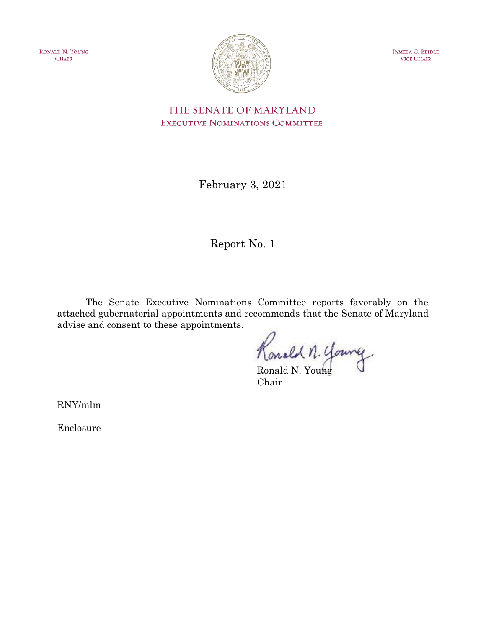RONALD N. YOUNG **CHAIR** 



PAMELA G. BEIDLE **VICE CHAIR** 

THE SENATE OF MARYLAND EXECUTIVE NOMINATIONS COMMITTEE

February 3, 2021

Report No. 1

The Senate Executive Nominations Committee reports favorably on the attached gubernatorial appointments and recommends that the Senate of Maryland advise and consent to these appointments.

Konald n. Young

Chair

RNY/mlm

Enclosure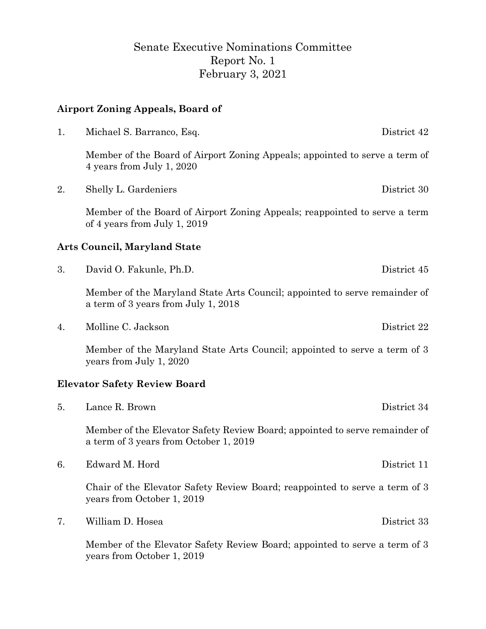# Senate Executive Nominations Committee Report No. 1 February 3, 2021

## **Airport Zoning Appeals, Board of**

| 1. | Michael S. Barranco, Esq.                                                                                             | District 42 |
|----|-----------------------------------------------------------------------------------------------------------------------|-------------|
|    | Member of the Board of Airport Zoning Appeals; appointed to serve a term of<br>4 years from July 1, 2020              |             |
| 2. | Shelly L. Gardeniers                                                                                                  | District 30 |
|    | Member of the Board of Airport Zoning Appeals; reappointed to serve a term<br>of 4 years from July 1, 2019            |             |
|    | Arts Council, Maryland State                                                                                          |             |
| 3. | David O. Fakunle, Ph.D.                                                                                               | District 45 |
|    | Member of the Maryland State Arts Council; appointed to serve remainder of<br>a term of 3 years from July 1, 2018     |             |
| 4. | Molline C. Jackson                                                                                                    | District 22 |
|    | Member of the Maryland State Arts Council; appointed to serve a term of 3<br>years from July 1, 2020                  |             |
|    | <b>Elevator Safety Review Board</b>                                                                                   |             |
| 5. | Lance R. Brown                                                                                                        | District 34 |
|    | Member of the Elevator Safety Review Board; appointed to serve remainder of<br>a term of 3 years from October 1, 2019 |             |
| 6. | Edward M. Hord                                                                                                        | District 11 |
|    | Chair of the Elevator Safety Review Board; reappointed to serve a term of 3<br>years from October 1, 2019             |             |
| 7. | William D. Hosea                                                                                                      | District 33 |

Member of the Elevator Safety Review Board; appointed to serve a term of 3 years from October 1, 2019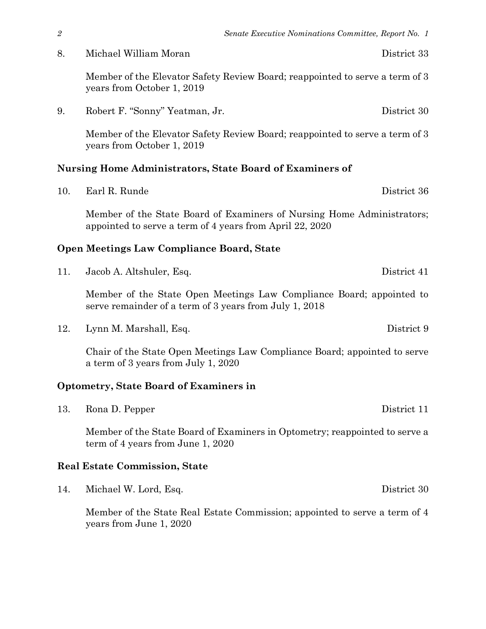8. Michael William Moran District 33

Member of the Elevator Safety Review Board; reappointed to serve a term of 3 years from October 1, 2019

9. Robert F. "Sonny" Yeatman, Jr. District 30

Member of the Elevator Safety Review Board; reappointed to serve a term of 3 years from October 1, 2019

## **Nursing Home Administrators, State Board of Examiners of**

10. Earl R. Runde District 36

Member of the State Board of Examiners of Nursing Home Administrators; appointed to serve a term of 4 years from April 22, 2020

## **Open Meetings Law Compliance Board, State**

11. Jacob A. Altshuler, Esq. District 41

Member of the State Open Meetings Law Compliance Board; appointed to serve remainder of a term of 3 years from July 1, 2018

12. Lynn M. Marshall, Esq. District 9

Chair of the State Open Meetings Law Compliance Board; appointed to serve a term of 3 years from July 1, 2020

## **Optometry, State Board of Examiners in**

13. Rona D. Pepper District 11

Member of the State Board of Examiners in Optometry; reappointed to serve a term of 4 years from June 1, 2020

## **Real Estate Commission, State**

14. Michael W. Lord, Esq. District 30

Member of the State Real Estate Commission; appointed to serve a term of 4 years from June 1, 2020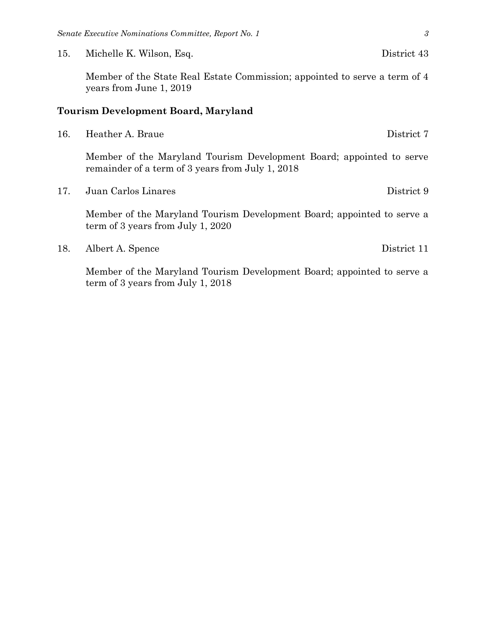15. Michelle K. Wilson, Esq. District 43

Member of the State Real Estate Commission; appointed to serve a term of 4 years from June 1, 2019

#### **Tourism Development Board, Maryland**

Member of the Maryland Tourism Development Board; appointed to serve remainder of a term of 3 years from July 1, 2018

17. Juan Carlos Linares District 9

Member of the Maryland Tourism Development Board; appointed to serve a term of 3 years from July 1, 2020

18. Albert A. Spence District 11

Member of the Maryland Tourism Development Board; appointed to serve a term of 3 years from July 1, 2018

<sup>16.</sup> Heather A. Braue District 7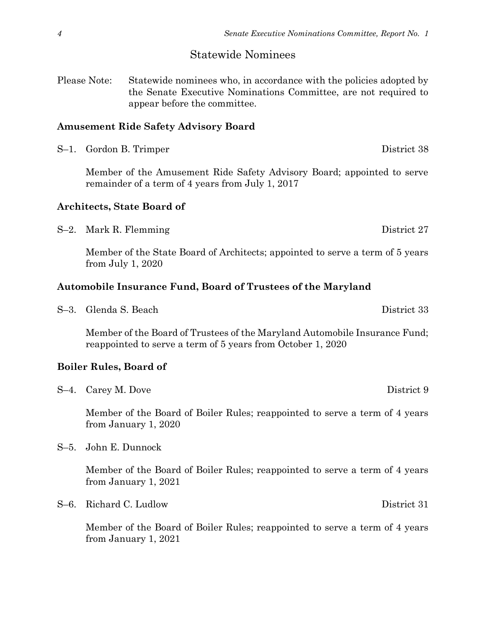#### Statewide Nominees

Please Note: Statewide nominees who, in accordance with the policies adopted by the Senate Executive Nominations Committee, are not required to appear before the committee.

#### **Amusement Ride Safety Advisory Board**

S-1. Gordon B. Trimper District 38

Member of the Amusement Ride Safety Advisory Board; appointed to serve remainder of a term of 4 years from July 1, 2017

#### **Architects, State Board of**

S–2. Mark R. Flemming District 27

Member of the State Board of Architects; appointed to serve a term of 5 years from July 1, 2020

#### **Automobile Insurance Fund, Board of Trustees of the Maryland**

S–3. Glenda S. Beach District 33

Member of the Board of Trustees of the Maryland Automobile Insurance Fund; reappointed to serve a term of 5 years from October 1, 2020

#### **Boiler Rules, Board of**

S-4. Carey M. Dove District 9

Member of the Board of Boiler Rules; reappointed to serve a term of 4 years from January 1, 2020

S–5. John E. Dunnock

Member of the Board of Boiler Rules; reappointed to serve a term of 4 years from January 1, 2021

S–6. Richard C. Ludlow District 31

Member of the Board of Boiler Rules; reappointed to serve a term of 4 years from January 1, 2021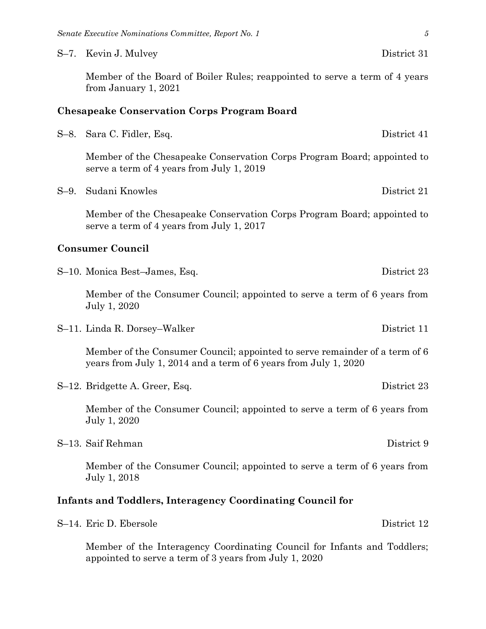S–7. Kevin J. Mulvey District 31

Member of the Board of Boiler Rules; reappointed to serve a term of 4 years from January 1, 2021

#### **Chesapeake Conservation Corps Program Board**

| S-8. Sara C. Fidler, Esq. |  | District 41 |
|---------------------------|--|-------------|
|---------------------------|--|-------------|

Member of the Chesapeake Conservation Corps Program Board; appointed to serve a term of 4 years from July 1, 2019

S–9. Sudani Knowles District 21

Member of the Chesapeake Conservation Corps Program Board; appointed to serve a term of 4 years from July 1, 2017

#### **Consumer Council**

S–10. Monica Best–James, Esq. District 23

Member of the Consumer Council; appointed to serve a term of 6 years from July 1, 2020

S–11. Linda R. Dorsey–Walker District 11

Member of the Consumer Council; appointed to serve remainder of a term of 6 years from July 1, 2014 and a term of 6 years from July 1, 2020

S–12. Bridgette A. Greer, Esq. District 23

Member of the Consumer Council; appointed to serve a term of 6 years from July 1, 2020

S–13. Saif Rehman District 9

Member of the Consumer Council; appointed to serve a term of 6 years from July 1, 2018

#### **Infants and Toddlers, Interagency Coordinating Council for**

Member of the Interagency Coordinating Council for Infants and Toddlers; appointed to serve a term of 3 years from July 1, 2020

District 12.